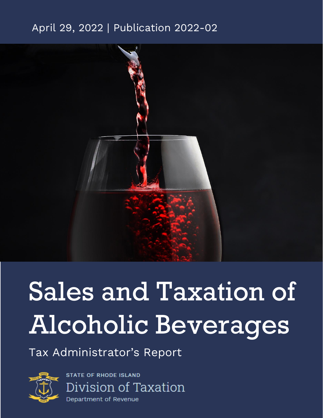### April 29, 2022 | Publication 2022-02



# Sales and Taxation of Alcoholic Beverages

Tax Administrator's Report



**STATE OF RHODE ISLAND** Division of Taxation Department of Revenue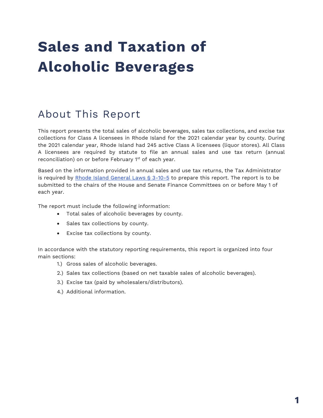## **Sales and Taxation of Alcoholic Beverages**

### About This Report

This report presents the total sales of alcoholic beverages, sales tax collections, and excise tax collections for Class A licensees in Rhode Island for the 2021 calendar year by county. During the 2021 calendar year, Rhode Island had 245 active Class A licensees (liquor stores). All Class A licensees are required by statute to file an annual sales and use tax return (annual reconciliation) on or before February 1<sup>st</sup> of each year.

Based on the information provided in annual sales and use tax returns, the Tax Administrator is required by [Rhode Island General Laws § 3-10-5](http://webserver.rilegislature.gov/Statutes/TITLE3/3-10/3-10-5.htm) to prepare this report. The report is to be submitted to the chairs of the House and Senate Finance Committees on or before May 1 of each year.

The report must include the following information:

- Total sales of alcoholic beverages by county.
- Sales tax collections by county.
- Excise tax collections by county.

In accordance with the statutory reporting requirements, this report is organized into four main sections:

- 1.) Gross sales of alcoholic beverages.
- 2.) Sales tax collections (based on net taxable sales of alcoholic beverages).
- 3.) Excise tax (paid by wholesalers/distributors).
- 4.) Additional information.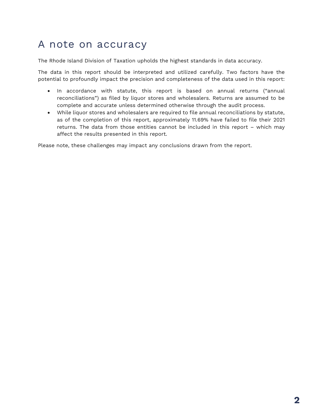### A note on accuracy

The Rhode Island Division of Taxation upholds the highest standards in data accuracy.

The data in this report should be interpreted and utilized carefully. Two factors have the potential to profoundly impact the precision and completeness of the data used in this report:

- In accordance with statute, this report is based on annual returns ("annual reconciliations") as filed by liquor stores and wholesalers. Returns are assumed to be complete and accurate unless determined otherwise through the audit process.
- While liquor stores and wholesalers are required to file annual reconciliations by statute, as of the completion of this report, approximately 11.69% have failed to file their 2021 returns. The data from those entities cannot be included in this report – which may affect the results presented in this report.

Please note, these challenges may impact any conclusions drawn from the report.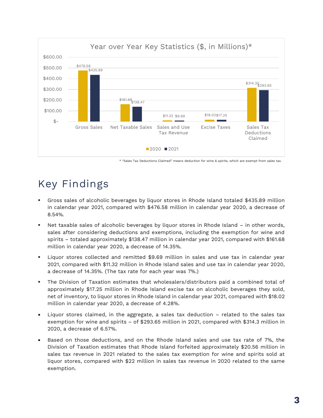

\* "Sales Tax Deductions Claimed" means deduction for wine & spirits, which are exempt from sales tax.

### Key Findings

- Gross sales of alcoholic beverages by liquor stores in Rhode Island totaled \$435.89 million in calendar year 2021, compared with \$476.58 million in calendar year 2020, a decrease of 8.54%.
- Net taxable sales of alcoholic beverages by liquor stores in Rhode Island in other words, sales after considering deductions and exemptions, including the exemption for wine and spirits – totaled approximately \$138.47 million in calendar year 2021, compared with \$161.68 million in calendar year 2020, a decrease of 14.35%.
- Liquor stores collected and remitted \$9.69 million in sales and use tax in calendar year 2021, compared with \$11.32 million in Rhode Island sales and use tax in calendar year 2020, a decrease of 14.35%. (The tax rate for each year was 7%.)
- The Division of Taxation estimates that wholesalers/distributors paid a combined total of approximately \$17.25 million in Rhode Island excise tax on alcoholic beverages they sold, net of inventory, to liquor stores in Rhode Island in calendar year 2021, compared with \$18.02 million in calendar year 2020, a decrease of 4.28%.
- Liquor stores claimed, in the aggregate, a sales tax deduction related to the sales tax exemption for wine and spirits – of \$293.65 million in 2021, compared with \$314.3 million in 2020, a decrease of 6.57%.
- Based on those deductions, and on the Rhode Island sales and use tax rate of 7%, the Division of Taxation estimates that Rhode Island forfeited approximately \$20.56 million in sales tax revenue in 2021 related to the sales tax exemption for wine and spirits sold at liquor stores, compared with \$22 million in sales tax revenue in 2020 related to the same exemption.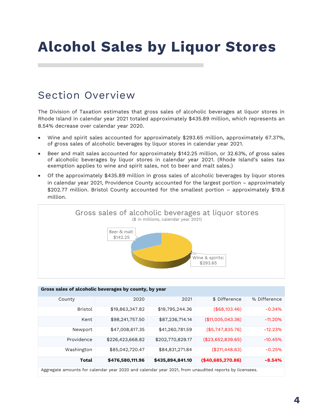## **Alcohol Sales by Liquor Stores**

### Section Overview

The Division of Taxation estimates that gross sales of alcoholic beverages at liquor stores in Rhode Island in calendar year 2021 totaled approximately \$435.89 million, which represents an 8.54% decrease over calendar year 2020.

- Wine and spirit sales accounted for approximately \$293.65 million, approximately 67.37%, of gross sales of alcoholic beverages by liquor stores in calendar year 2021.
- Beer and malt sales accounted for approximately \$142.25 million, or 32.63%, of gross sales of alcoholic beverages by liquor stores in calendar year 2021. (Rhode Island's sales tax exemption applies to wine and spirit sales, not to beer and malt sales.)
- Of the approximately \$435.89 million in gross sales of alcoholic beverages by liquor stores in calendar year 2021, Providence County accounted for the largest portion – approximately \$202.77 million. Bristol County accounted for the smallest portion – approximately \$19.8 million.



| Gross sales of alcoholic beverages by county, by year                                                 |                  |                  |                   |              |  |  |  |  |  |  |
|-------------------------------------------------------------------------------------------------------|------------------|------------------|-------------------|--------------|--|--|--|--|--|--|
| County                                                                                                | 2020             | 2021             | \$ Difference     | % Difference |  |  |  |  |  |  |
| <b>Bristol</b>                                                                                        | \$19,863,347.82  | \$19,795,244.36  | (\$68,103.46)     | $-0.34%$     |  |  |  |  |  |  |
| Kent                                                                                                  | \$98,241,757.50  | \$87,236,714.14  | (\$11,005,043.36) | $-11.20\%$   |  |  |  |  |  |  |
| Newport                                                                                               | \$47,008,617.35  | \$41,260,781.59  | (\$5,747,835.76)  | $-12.23%$    |  |  |  |  |  |  |
| Providence                                                                                            | \$226,423,668.82 | \$202,770,829.17 | (\$23,652,839.65) | $-10.45%$    |  |  |  |  |  |  |
| Washington                                                                                            | \$85,042,720.47  | \$84,831,271.84  | (\$211,448.63)    | $-0.25%$     |  |  |  |  |  |  |
| <b>Total</b>                                                                                          | \$476,580,111.96 | \$435,894,841.10 | (\$40,685,270.86) | $-8.54%$     |  |  |  |  |  |  |
| Aggregate amounts for calendar year 2020 and calendar year 2021, from unaudited reports by licensees. |                  |                  |                   |              |  |  |  |  |  |  |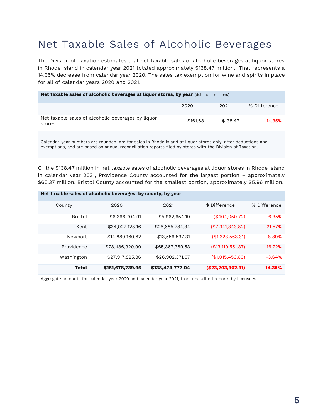### Net Taxable Sales of Alcoholic Beverages

The Division of Taxation estimates that net taxable sales of alcoholic beverages at liquor stores in Rhode Island in calendar year 2021 totaled approximately \$138.47 million. That represents a 14.35% decrease from calendar year 2020. The sales tax exemption for wine and spirits in place for all of calendar years 2020 and 2021.

### **Net taxable sales of alcoholic beverages at liquor stores, by year** (dollars in millions) 2020 2021 % Difference Net taxable sales of alcoholic beverages by liquor stores \$161.68 \$138.47 -14.35%

Calendar-year numbers are rounded, are for sales in Rhode Island at liquor stores only, after deductions and exemptions, and are based on annual reconciliation reports filed by stores with the Division of Taxation.

Of the \$138.47 million in net taxable sales of alcoholic beverages at liquor stores in Rhode Island in calendar year 2021, Providence County accounted for the largest portion – approximately \$65.37 million. Bristol County accounted for the smallest portion, approximately \$5.96 million.

#### **Net taxable sales of alcoholic beverages, by county, by year** County 2020 2021 \$ Difference % Difference Bristol \$6,366,704.91 \$5,962,654.19 (\$404,050.72) -6.35% Kent \$34,027,128.16 \$26,685,784.34 (\$7,341,343.82) -21.57% Newport \$14,880,160.62 \$13,556,597.31 (\$1,323,563.31) -8.89% Providence \$78,486,920.90 \$65,367,369.53 (\$13,119,551.37) -16.72% Washington \$27,917,825.36 \$26,902,371.67 (\$1,015,453.69) - 3.64% **Total \$161,678,739.95 \$138,474,777.04 (\$23,203,962.91) -14.35%**

Aggregate amounts for calendar year 2020 and calendar year 2021, from unaudited reports by licensees.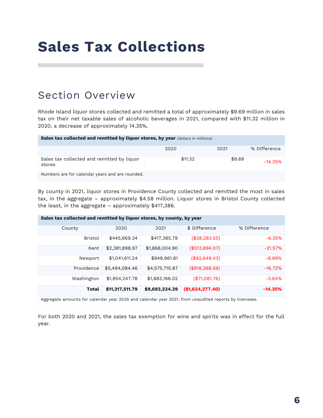## **Sales Tax Collections**

### Section Overview

Rhode Island liquor stores collected and remitted a total of approximately \$9.69 million in sales tax on their net taxable sales of alcoholic beverages in 2021, compared with \$11.32 million in 2020, a decrease of approximately 14.35%.

| Sales tax collected and remitted by liquor stores, by year (dollars in millions) |         |        |              |  |  |  |  |  |  |
|----------------------------------------------------------------------------------|---------|--------|--------------|--|--|--|--|--|--|
|                                                                                  | 2020    | 2021   | % Difference |  |  |  |  |  |  |
| Sales tax collected and remitted by liquor<br>stores                             | \$11.32 | \$9.69 | $-14.35\%$   |  |  |  |  |  |  |
| Numbers are for calendar years and are rounded.                                  |         |        |              |  |  |  |  |  |  |

By county in 2021, liquor stores in Providence County collected and remitted the most in sales tax, in the aggregate – approximately \$4.58 million. Liquor stores in Bristol County collected the least, in the aggregate – approximately \$417,386.

| Sales tax collected and remitted by liquor stores, by county, by year |                                                                                                       |                |                  |              |  |  |  |  |  |  |
|-----------------------------------------------------------------------|-------------------------------------------------------------------------------------------------------|----------------|------------------|--------------|--|--|--|--|--|--|
| County                                                                | 2020                                                                                                  | 2021           | \$ Difference    | % Difference |  |  |  |  |  |  |
| <b>Bristol</b>                                                        | \$445,669.34                                                                                          | \$417,385.79   | (\$28, 283.55)   | $-6.35%$     |  |  |  |  |  |  |
| Kent                                                                  | \$2,381,898.97                                                                                        | \$1,868,004.90 | (\$513,894.07)   | $-21.57%$    |  |  |  |  |  |  |
| Newport                                                               | \$1,041,611,24                                                                                        | \$948,961.81   | (\$92.649.43)    | $-8.89%$     |  |  |  |  |  |  |
| Providence                                                            | \$5,494,084.46                                                                                        | \$4,575,715.87 | (\$918,368.59)   | $-16.72%$    |  |  |  |  |  |  |
| Washington                                                            | \$1,954,247.78                                                                                        | \$1,883,166.02 | (\$71,081.76)    | $-3.64%$     |  |  |  |  |  |  |
| Total                                                                 | \$11,317,511.79                                                                                       | \$9,693,234.39 | (\$1,624,277.40) | $-14.35%$    |  |  |  |  |  |  |
|                                                                       | Aggregate amounts for calendar year 2020 and calendar year 2021, from unaudited reports by licensees. |                |                  |              |  |  |  |  |  |  |

For both 2020 and 2021, the sales tax exemption for wine and spirits was in effect for the full year.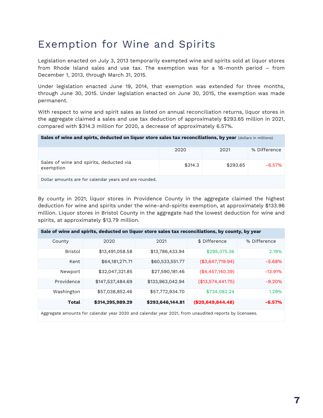### Exemption for Wine and Spirits

Legislation enacted on July 3, 2013 temporarily exempted wine and spirits sold at liquor stores from Rhode Island sales and use tax. The exemption was for a 16-month period – from December 1, 2013, through March 31, 2015.

Under legislation enacted June 19, 2014, that exemption was extended for three months, through June 30, 2015. Under legislation enacted on June 30, 2015, the exemption was made permanent.

With respect to wine and spirit sales as listed on annual reconciliation returns, liquor stores in the aggregate claimed a sales and use tax deduction of approximately \$293.65 million in 2021, compared with \$314.3 million for 2020, a decrease of approximately 6.57%.

| Sales of wine and spirts, deducted on liquor store sales tax reconciliations, by year (dollars in millions) |  |  |  |
|-------------------------------------------------------------------------------------------------------------|--|--|--|
|-------------------------------------------------------------------------------------------------------------|--|--|--|

|                                                        | 2020    | 2021     | % Difference |
|--------------------------------------------------------|---------|----------|--------------|
| Sales of wine and spirits, deducted via<br>exemption   | \$314.3 | \$293.65 | $-6.57\%$    |
| Dollar amounts are for calendar years and are rounded. |         |          |              |

By county in 2021, liquor stores in Providence County in the aggregate claimed the highest deduction for wine and spirits under the wine-and-spirits exemption, at approximately \$133.96 million. Liquor stores in Bristol County in the aggregate had the lowest deduction for wine and spirits, at approximately \$13.79 million.

| Sale of wine and spirits, deducted on liquor store sales tax reconciliations, by county, by year |                                                                                                     |                  |                   |              |  |  |  |  |  |
|--------------------------------------------------------------------------------------------------|-----------------------------------------------------------------------------------------------------|------------------|-------------------|--------------|--|--|--|--|--|
| County                                                                                           | 2020                                                                                                | 2021             | \$ Difference     | % Difference |  |  |  |  |  |
| <b>Bristol</b>                                                                                   | \$13,491,058.58                                                                                     | \$13,786,433.94  | \$295,375.36      | 2.19%        |  |  |  |  |  |
| Kent                                                                                             | \$64,181,271.71                                                                                     | \$60,533,551.77  | (\$3,647,719.94)  | $-5.68%$     |  |  |  |  |  |
| Newport                                                                                          | \$32,047,321.85                                                                                     | \$27,590,181.46  | (\$4,457,140.39)  | $-13.91%$    |  |  |  |  |  |
| Providence                                                                                       | \$147,537,484.69                                                                                    | \$133,963,042.94 | (\$13,574,441.75) | $-9.20%$     |  |  |  |  |  |
| Washington                                                                                       | \$57,038,852.46                                                                                     | \$57,772,934.70  | \$734,082.24      | 1.29%        |  |  |  |  |  |
| <b>Total</b>                                                                                     | \$314,295,989.29                                                                                    | \$293,646,144.81 | (\$20,649,844.48) | $-6.57%$     |  |  |  |  |  |
|                                                                                                  | Aggregate amounts for calendar year 2020 and calendar year 2021 from unaudited reports by licensees |                  |                   |              |  |  |  |  |  |

Aggregate amounts for calendar year 2020 and calendar year 2021, from unaudited reports by licensees.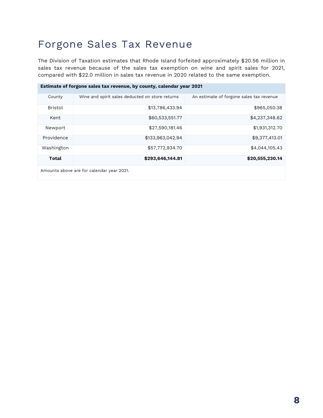### Forgone Sales Tax Revenue

The Division of Taxation estimates that Rhode Island forfeited approximately \$20.56 million in sales tax revenue because of the sales tax exemption on wine and spirit sales for 2021, compared with \$22.0 million in sales tax revenue in 2020 related to the same exemption.

| Estimate of forgone sales tax revenue, by county, calendar year 2021 |                                                         |                                          |  |  |  |  |  |  |
|----------------------------------------------------------------------|---------------------------------------------------------|------------------------------------------|--|--|--|--|--|--|
| County                                                               | Wine and spirit sales deducted on store returns         | An estimate of forgone sales tax revenue |  |  |  |  |  |  |
| <b>Bristol</b>                                                       | \$13,786,433.94                                         | \$965,050.38                             |  |  |  |  |  |  |
| Kent                                                                 | \$60,533,551.77                                         | \$4,237,348.62                           |  |  |  |  |  |  |
| Newport                                                              | \$27,590,181.46                                         | \$1,931,312.70                           |  |  |  |  |  |  |
| Providence                                                           | \$133,963,042.94                                        | \$9,377,413.01                           |  |  |  |  |  |  |
| Washington                                                           | \$57,772,934.70                                         | \$4,044,105.43                           |  |  |  |  |  |  |
| Total                                                                | \$293,646,144.81                                        | \$20,555,230.14                          |  |  |  |  |  |  |
|                                                                      | $\Lambda$ to all support for all solo support $\Lambda$ |                                          |  |  |  |  |  |  |

Amounts above are for calendar year 2021.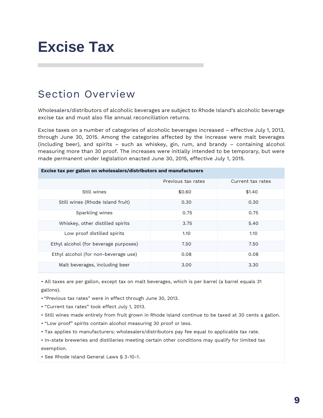## **Excise Tax**

### Section Overview

Wholesalers/distributors of alcoholic beverages are subject to Rhode Island's alcoholic beverage excise tax and must also file annual reconciliation returns.

Excise taxes on a number of categories of alcoholic beverages increased – effective July 1, 2013, through June 30, 2015. Among the categories affected by the increase were malt beverages (including beer), and spirits – such as whiskey, gin, rum, and brandy – containing alcohol measuring more than 30 proof. The increases were initially intended to be temporary, but were made permanent under legislation enacted June 30, 2015, effective July 1, 2015.

| $\sim$ $\sim$ $\sim$ $\sim$ $\sim$ $\sim$ $\sim$ $\sim$ |                    |                   |  |  |  |  |  |  |
|---------------------------------------------------------|--------------------|-------------------|--|--|--|--|--|--|
|                                                         | Previous tax rates | Current tax rates |  |  |  |  |  |  |
| Still wines                                             | \$0.60             | \$1.40            |  |  |  |  |  |  |
| Still wines (Rhode Island fruit)                        | 0.30               | 0.30              |  |  |  |  |  |  |
| Sparkling wines                                         | 0.75               | 0.75              |  |  |  |  |  |  |
| Whiskey, other distilled spirits                        | 3.75               | 5.40              |  |  |  |  |  |  |
| Low proof distilled spirits                             | 1.10               | 1.10              |  |  |  |  |  |  |
| Ethyl alcohol (for beverage purposes)                   | 7.50               | 7.50              |  |  |  |  |  |  |
| Ethyl alcohol (for non-beverage use)                    | 0.08               | 0.08              |  |  |  |  |  |  |
| Malt beverages, including beer                          | 3.00               | 3.30              |  |  |  |  |  |  |

• All taxes are per gallon, except tax on malt beverages, which is per barrel (a barrel equals 31 gallons).

• "Previous tax rates" were in effect through June 30, 2013.

• "Current tax rates" took effect July 1, 2013.

• Still wines made entirely from fruit grown in Rhode Island continue to be taxed at 30 cents a gallon.

• "Low proof" spirits contain alcohol measuring 30 proof or less.

**Excise tax per gallon on wholesalers/distributors and manufacturers**

• Tax applies to manufacturers; wholesalers/distributors pay fee equal to applicable tax rate.

• In-state breweries and distilleries meeting certain other conditions may qualify for limited tax exemption.

• See Rhode Island General Laws § 3-10-1.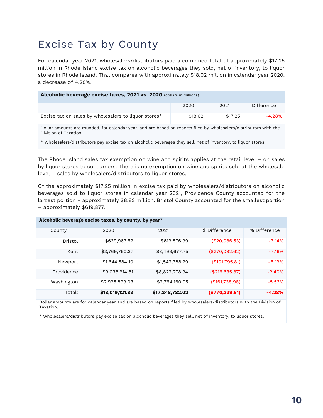### Excise Tax by County

For calendar year 2021, wholesalers/distributors paid a combined total of approximately \$17.25 million in Rhode Island excise tax on alcoholic beverages they sold, net of inventory, to liquor stores in Rhode Island. That compares with approximately \$18.02 million in calendar year 2020, a decrease of 4.28%.

#### **Alcoholic beverage excise taxes, 2021 vs. 2020** (dollars in millions)

|                                                      | 2020    | 2021    | Difference |
|------------------------------------------------------|---------|---------|------------|
| Excise tax on sales by wholesalers to liquor stores* | \$18.02 | \$17.25 | -4.28%     |

Dollar amounts are rounded, for calendar year, and are based on reports filed by wholesalers/distributors with the Division of Taxation.

\* Wholesalers/distributors pay excise tax on alcoholic beverages they sell, net of inventory, to liquor stores.

The Rhode Island sales tax exemption on wine and spirits applies at the retail level – on sales by liquor stores to consumers. There is no exemption on wine and spirits sold at the wholesale level – sales by wholesalers/distributors to liquor stores.

Of the approximately \$17.25 million in excise tax paid by wholesalers/distributors on alcoholic beverages sold to liquor stores in calendar year 2021, Providence County accounted for the largest portion – approximately \$8.82 million. Bristol County accounted for the smallest portion – approximately \$619,877.

| Alcoholic beverage excise taxes, by county, by year* |                 |                 |                |              |  |  |  |  |  |  |
|------------------------------------------------------|-----------------|-----------------|----------------|--------------|--|--|--|--|--|--|
| County                                               | 2020            | 2021            | \$ Difference  | % Difference |  |  |  |  |  |  |
| <b>Bristol</b>                                       | \$639,963.52    | \$619,876.99    | (\$20,086.53)  | $-3.14%$     |  |  |  |  |  |  |
| Kent                                                 | \$3,769,760.37  | \$3,499,677.75  | (\$270,082.62) | $-7.16%$     |  |  |  |  |  |  |
| Newport                                              | \$1,644,584.10  | \$1,542,788.29  | (\$101,795.81) | $-6.19%$     |  |  |  |  |  |  |
| Providence                                           | \$9,038,914.81  | \$8,822,278.94  | (\$216,635.87) | $-2.40%$     |  |  |  |  |  |  |
| Washington                                           | \$2,925,899.03  | \$2,764,160.05  | (\$161,738.98) | $-5.53%$     |  |  |  |  |  |  |
| Total:                                               | \$18,019,121.83 | \$17,248,782.02 | (\$770,339.81) | $-4.28%$     |  |  |  |  |  |  |

Dollar amounts are for calendar year and are based on reports filed by wholesalers/distributors with the Division of Taxation.

\* Wholesalers/distributors pay excise tax on alcoholic beverages they sell, net of inventory, to liquor stores.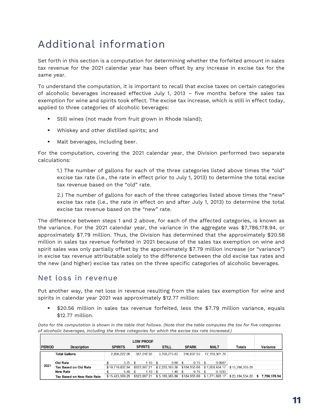### Additional information

Set forth in this section is a computation for determining whether the forfeited amount in sales tax revenue for the 2021 calendar year has been offset by any increase in excise tax for the same year.

To understand the computation, it is important to recall that excise taxes on certain categories of alcoholic beverages increased effective July 1, 2013 – five months before the sales tax exemption for wine and spirits took effect. The excise tax increase, which is still in effect today, applied to three categories of alcoholic beverages:

- Still wines (not made from fruit grown in Rhode Island);
- Whiskey and other distilled spirits; and
- Malt beverages, including beer.

For the computation, covering the 2021 calendar year, the Division performed two separate calculations:

1.) The number of gallons for each of the three categories listed above times the "old" excise tax rate (i.e., the rate in effect prior to July 1, 2013) to determine the total excise tax revenue based on the "old" rate.

2.) The number of gallons for each of the three categories listed above times the "new" excise tax rate (i.e., the rate in effect on and after July 1, 2013) to determine the total excise tax revenue based on the "new" rate.

The difference between steps 1 and 2 above, for each of the affected categories, is known as the variance. For the 2021 calendar year, the variance in the aggregate was \$7,786,178.94, or approximately \$7.79 million. Thus, the Division has determined that the approximately \$20.56 million in sales tax revenue forfeited in 2021 because of the sales tax exemption on wine and spirit sales was only partially offset by the approximately \$7.79 million increase (or "variance") in excise tax revenue attributable solely to the difference between the old excise tax rates and the new (and higher) excise tax rates on the three specific categories of alcoholic beverages.

#### Net loss in revenue

Put another way, the net loss in revenue resulting from the sales tax exemption for wine and spirits in calendar year 2021 was approximately \$12.77 million:

\$20.56 million in sales tax revenue forfeited, less the \$7.79 million variance, equals \$12.77 million.

*Data for the computation is shown in the table that follows. (Note that the table computes the tax for five categories of alcoholic beverages, including the three categories for which the excise tax rate increased.)* 

| <b>PERIOD</b> | <b>Description</b>                | <b>SPIRITS</b>  | <b>SPIRITS</b> | <b>STILL</b>                        | <b>SPARK</b> | <b>MALT</b>                                   | Totals          | Variance                         |
|---------------|-----------------------------------|-----------------|----------------|-------------------------------------|--------------|-----------------------------------------------|-----------------|----------------------------------|
|               | <b>Total Gallons</b>              | 2,856,222.09    | 567,242.92     | 3.700.275.63                        | 246.607.55   | 17,150,301.70                                 |                 |                                  |
|               | <b>Old Rate</b>                   | 3.75            | $1.10 \t{S}$   | $0.60$ \$                           | $0.75$ \$    | 0.0967                                        |                 |                                  |
| 2021          | <b>Tax Based on Old Rate</b>      | \$10.710.832.84 | \$623,967.21   |                                     |              | $$2,220,165.38$ $$184,955.66$ $$1,658,434.17$ | \$15.398.355.26 |                                  |
|               | <b>New Rate</b>                   | $5.40$ \$       | $1.10 \pm$ \$  | $1.40 \,$ \$                        | $0.75$ \$    | 0.1033                                        |                 |                                  |
|               | <b>Tax Based on New Rate Rate</b> | \$15,423,599.29 |                | $$623,967.21 \;   \; $5,180,385.88$ |              | $$184,955.66$ $$1,771,626.17$                 |                 | $$23,184,534.20$ $$7,786,178.94$ |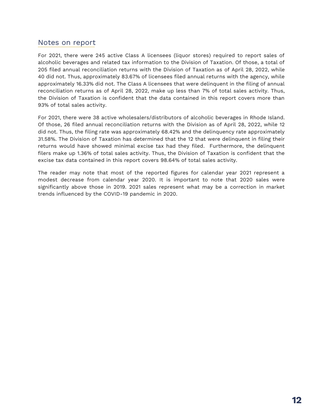#### Notes on report

For 2021, there were 245 active Class A licensees (liquor stores) required to report sales of alcoholic beverages and related tax information to the Division of Taxation. Of those, a total of 205 filed annual reconciliation returns with the Division of Taxation as of April 28, 2022, while 40 did not. Thus, approximately 83.67% of licensees filed annual returns with the agency, while approximately 16.33% did not. The Class A licensees that were delinquent in the filing of annual reconciliation returns as of April 28, 2022, make up less than 7% of total sales activity. Thus, the Division of Taxation is confident that the data contained in this report covers more than 93% of total sales activity.

For 2021, there were 38 active wholesalers/distributors of alcoholic beverages in Rhode Island. Of those, 26 filed annual reconciliation returns with the Division as of April 28, 2022, while 12 did not. Thus, the filing rate was approximately 68.42% and the delinquency rate approximately 31.58%. The Division of Taxation has determined that the 12 that were delinquent in filing their returns would have showed minimal excise tax had they filed. Furthermore, the delinquent filers make up 1.36% of total sales activity. Thus, the Division of Taxation is confident that the excise tax data contained in this report covers 98.64% of total sales activity.

The reader may note that most of the reported figures for calendar year 2021 represent a modest decrease from calendar year 2020. It is important to note that 2020 sales were significantly above those in 2019. 2021 sales represent what may be a correction in market trends influenced by the COVID-19 pandemic in 2020.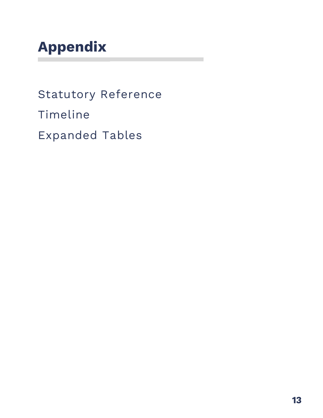## **Appendix**

Statutory Reference Timeline Expanded Tables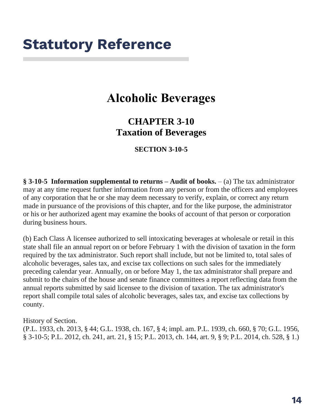## **Statutory Reference**

### **Alcoholic Beverages**

### **CHAPTER 3-10 Taxation of Beverages**

**SECTION 3-10-5**

**§ 3-10-5 Information supplemental to returns – Audit of books.** – (a) The tax administrator may at any time request further information from any person or from the officers and employees of any corporation that he or she may deem necessary to verify, explain, or correct any return made in pursuance of the provisions of this chapter, and for the like purpose, the administrator or his or her authorized agent may examine the books of account of that person or corporation during business hours.

(b) Each Class A licensee authorized to sell intoxicating beverages at wholesale or retail in this state shall file an annual report on or before February 1 with the division of taxation in the form required by the tax administrator. Such report shall include, but not be limited to, total sales of alcoholic beverages, sales tax, and excise tax collections on such sales for the immediately preceding calendar year. Annually, on or before May 1, the tax administrator shall prepare and submit to the chairs of the house and senate finance committees a report reflecting data from the annual reports submitted by said licensee to the division of taxation. The tax administrator's report shall compile total sales of alcoholic beverages, sales tax, and excise tax collections by county.

History of Section.

(P.L. 1933, ch. 2013, § 44; G.L. 1938, ch. 167, § 4; impl. am. P.L. 1939, ch. 660, § 70; G.L. 1956, § 3-10-5; P.L. 2012, ch. 241, art. 21, § 15; P.L. 2013, ch. 144, art. 9, § 9; P.L. 2014, ch. 528, § 1.)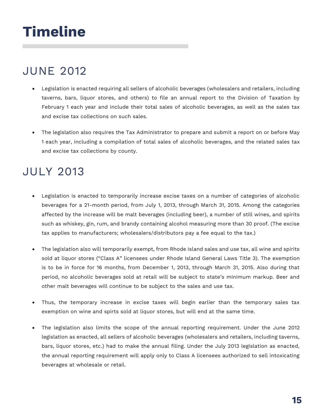## **Timeline**

### JUNE 2012

- Legislation is enacted requiring all sellers of alcoholic beverages (wholesalers and retailers, including taverns, bars, liquor stores, and others) to file an annual report to the Division of Taxation by February 1 each year and include their total sales of alcoholic beverages, as well as the sales tax and excise tax collections on such sales.
- The legislation also requires the Tax Administrator to prepare and submit a report on or before May 1 each year, including a compilation of total sales of alcoholic beverages, and the related sales tax and excise tax collections by county.

### JULY 2013

- Legislation is enacted to temporarily increase excise taxes on a number of categories of alcoholic beverages for a 21-month period, from July 1, 2013, through March 31, 2015. Among the categories affected by the increase will be malt beverages (including beer), a number of still wines, and spirits such as whiskey, gin, rum, and brandy containing alcohol measuring more than 30 proof. (The excise tax applies to manufacturers; wholesalers/distributors pay a fee equal to the tax.)
- The legislation also will temporarily exempt, from Rhode Island sales and use tax, all wine and spirits sold at liquor stores ("Class A" licensees under Rhode Island General Laws Title 3). The exemption is to be in force for 16 months, from December 1, 2013, through March 31, 2015. Also during that period, no alcoholic beverages sold at retail will be subject to state's minimum markup. Beer and other malt beverages will continue to be subject to the sales and use tax.
- Thus, the temporary increase in excise taxes will begin earlier than the temporary sales tax exemption on wine and spirts sold at liquor stores, but will end at the same time.
- The legislation also limits the scope of the annual reporting requirement. Under the June 2012 legislation as enacted, all sellers of alcoholic beverages (wholesalers and retailers, including taverns, bars, liquor stores, etc.) had to make the annual filing. Under the July 2013 legislation as enacted, the annual reporting requirement will apply only to Class A licensees authorized to sell intoxicating beverages at wholesale or retail.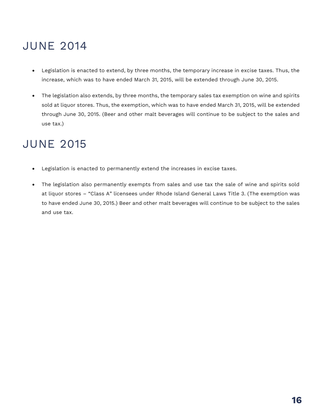### JUNE 2014

- Legislation is enacted to extend, by three months, the temporary increase in excise taxes. Thus, the increase, which was to have ended March 31, 2015, will be extended through June 30, 2015.
- The legislation also extends, by three months, the temporary sales tax exemption on wine and spirits sold at liquor stores. Thus, the exemption, which was to have ended March 31, 2015, will be extended through June 30, 2015. (Beer and other malt beverages will continue to be subject to the sales and use tax.)

### JUNE 2015

- Legislation is enacted to permanently extend the increases in excise taxes.
- The legislation also permanently exempts from sales and use tax the sale of wine and spirits sold at liquor stores – "Class A" licensees under Rhode Island General Laws Title 3. (The exemption was to have ended June 30, 2015.) Beer and other malt beverages will continue to be subject to the sales and use tax.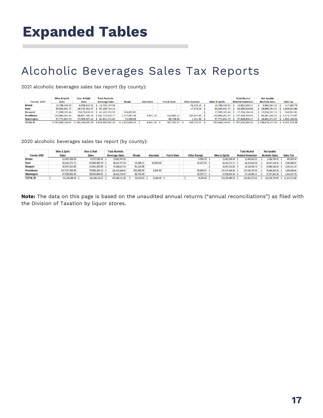### Alcoholic Beverages Sales Tax Reports

2021 alcoholic beverages sales tax report (by county):

|                   | <b>Wine &amp; Spirit</b> | <b>Beer &amp; Malt</b> | <b>Total Alcoholic</b>                                 |                      |              |                        |                     |                           | <b>Total Alcohol</b>              | <b>Net taxable</b>              |                  |
|-------------------|--------------------------|------------------------|--------------------------------------------------------|----------------------|--------------|------------------------|---------------------|---------------------------|-----------------------------------|---------------------------------|------------------|
| County -2021      | <b>Sales</b>             | <b>Sales</b>           | <b>Beverage Sales</b>                                  | <b>Resale</b>        | Interstate   | <b>Fed &amp; State</b> | <b>Other Exempt</b> | <b>Wine &amp; Spirits</b> | <b>Related Deduction</b>          | <b>Alcoholic Sales</b>          | <b>Sales Tax</b> |
| <b>Bristol</b>    | 13,786,433,94            | $6.008.810.42$ S       | 19.795.244.36                                          |                      |              |                        | 46.156.23 S         | 13,786,433,94             | 13.832.590.17<br>-S               | 5.962.654.19 S                  | 417.385.79       |
| Kent              | 60.533.551.77            |                        | 26.703.162.37   \$ 87.236.714.14                       |                      |              |                        | 17.378.03 S         | 60.533.551.77             | 60.550.929.80<br>⊪S.              | \$26,685,784,34 \$1,868,004.90  |                  |
| <b>Newport</b>    | 27,590,181.46            |                        | 13,670,600.13 \$41,260,781.59                          | 114,002.82           |              |                        | . .                 |                           | 27.590.181.46   \$27.704.184.28   | $S$ 13.556.597.31 S             | 948.961.81       |
| <b>Providence</b> | 133,963,042.94           |                        | 68,807,786.23 \$202,770,829.17                         | 2,727,057.46         | 4,541.18     | 423,883.21             | 284,934.85 S        |                           | 133,963,042.94 \$137,403,459.64   | \$65,367,369.53 \$4,575,715.87  |                  |
| Washington        | 57.772.934.70            |                        | 27.058.337.14   \$84.831.271.84                        | 71,005.05            |              | 83.708.86              | 1,251.56 \$         |                           | 57.772.934.70   \$ 57.928.900.17  | \$26,902,371,67                 | $S$ 1.883.166.02 |
| <b>TOTAL RI</b>   |                          |                        | \$293.646.144.81   \$142.248.696.29   \$435.894.841.10 | $S$ 2.912.065.33 $S$ | $4.541.18$ S | 507.592.07 S           | 349.720.67 S        |                           | 293.646.144.81   \$297.420.064.06 | \$138.474.777.04 \$9.693.234.39 |                  |

2020 alcoholic beverages sales tax report (by county):

|                 | Wine & Spirit     | Beer & Malt    | <b>Total Alcoholic</b> |               |            |             |                     |                           | <b>Total Alcohol</b>     | Net taxable            |                  |
|-----------------|-------------------|----------------|------------------------|---------------|------------|-------------|---------------------|---------------------------|--------------------------|------------------------|------------------|
| County-2020     | <b>Sales</b>      | <b>Sales</b>   | <b>Beverage Sales</b>  | Resale        | Interstate | Fed & State | <b>Other Exempt</b> | <b>Wine &amp; Spirits</b> | <b>Related Deduction</b> | <b>Alcoholic Sales</b> | <b>Sales Tax</b> |
| <b>Bristol</b>  | 13.491.058.58     | 6.372.289.24   | 19,863,347.82          |               |            |             | 5.584.33 \$         | 13,491,058.58             | 13.496.642.91            | 6.366.704.91           | 445.669.34       |
| Kent            | 64.181.271.71     | 34.060.485.79  | 98.241.757.50          | 13.198.11     | 10.002.00  |             | 10.157.52 \$        | 64.181.271.71             | 64.214.629.34            | 34.027.128.16          | 2.381.898.97     |
| Newport         | 32.047.321.85     | 14.961.295.50  | 47,008,617.35          | 81.134.88     |            |             |                     | 32,047,321.85             | 32.128.456.73            | 14.880.160.62          | 1.041.611.24     |
| Providence      | 147.537.484.69    | 78.886.184.13  | 226.423.668.82         | 355.480.56    | 3.942.00   |             | 39,840.67 \$        | 147.537.484.69            | 147.936.747.92           | 78.486.920.90          | 5.494.084.46     |
| Washington      | 57,038,852.46     | 28.003.868.01  | 85.042.720.47          | 66,745.48     |            |             | 19,297.17 \$        | 57,038,852.46             | 57.124.895.11            | 27.917.825.36          | 1,954,247.78     |
| <b>TOTAL RI</b> | 314,295,989.29 \$ | 162,284,122.67 | 476,580,111.96         | 516,559.03 \$ | 13.944.00  |             | 74,879.69 \$        | 314, 295, 989. 29         | 314,901,372.01           | 161.678.739.95         | 11.317.511.80    |

**Note:** The data on this page is based on the unaudited annual returns ("annual reconciliations") as filed with the Division of Taxation by liquor stores.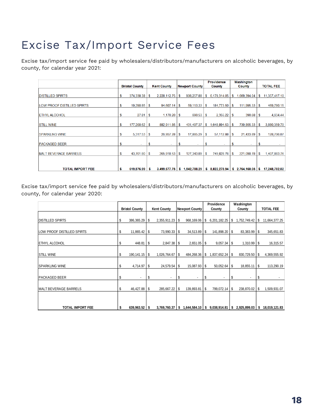### Excise Tax/Import Service Fees

Excise tax/import service fee paid by wholesalers/distributors/manufacturers on alcoholic beverages, by county, for calendar year 2021:

|                               |    |                       |    |                    |    |                          |          | <b>Providence</b> |    | Washington   |    |                  |
|-------------------------------|----|-----------------------|----|--------------------|----|--------------------------|----------|-------------------|----|--------------|----|------------------|
|                               |    | <b>Bristol County</b> |    | <b>Kent County</b> |    | <b>Newport County</b>    |          | <b>County</b>     |    | County       |    | <b>TOTAL FEE</b> |
|                               |    |                       |    |                    |    |                          |          |                   |    |              |    |                  |
| <b>IDISTILLED SPIRTS</b>      | s  | 374.338.38            | -S | 2,228,112.75       | -S | 906.257.88               | -S       | 6,179,314.05      | S. | ,669,394.04  | s  | 11.357.417.10    |
|                               |    |                       |    |                    |    |                          |          |                   |    |              |    |                  |
| LOW PROOF DISTILLED SPIRTS    | s  | 19,290.85             | s  | 94,607.14          | -S | 59,113.33                | <b>S</b> | 184,773.50        | \$ | 111,995.33   | s  | 469,780.15       |
|                               |    |                       |    |                    |    |                          |          |                   |    |              |    |                  |
| <b>ETHYL ALCOHOL</b>          | S  | 27.81                 | S  | 1,170.20           | S  | 690.53                   | s        | 2,355.22          | S  | 390.68       | s  | 4,634.44         |
|                               |    |                       |    |                    |    |                          |          |                   |    |              |    |                  |
| <b>STILL WINE</b>             | \$ | 177,200.62            | S  | 882,911.85         | S  | 431,497.37               | S        | .648,894.53       | s  | 739,855.33   | s  | 3,880,359.70     |
|                               |    |                       |    |                    |    |                          |          |                   |    |              |    |                  |
| <b>SPARKLING WINE</b>         | s  |                       |    | 26,957.28          | -S | 17,885.29                | -S       | 57,112.88         | -S | 21,433.89    | S  | 128,706.87       |
|                               |    |                       |    |                    |    |                          |          |                   |    |              |    |                  |
| <b>PACKAGED BEER</b>          | S  | ٠                     | S  | ۰                  | s  | $\overline{\phantom{0}}$ | s        | ۰                 | \$ | ٠            | \$ |                  |
|                               |    |                       |    |                    |    |                          |          |                   |    |              |    |                  |
| <b>IMALT BEVERAGE BARRELS</b> | S  | 43,701.80             | S  | 265,918.53         | S  | 127,343.89               | s        | 749,828.76        | S  | 221,090.78   | s  | .407.883.76      |
|                               |    |                       |    |                    |    |                          |          |                   |    |              |    |                  |
|                               |    |                       |    |                    |    |                          |          |                   |    |              |    |                  |
| <b>TOTAL IMPORT FEE</b>       |    | 619,876.99            |    | 3.499.677.75       | s  | 1,542,788.29             | S.       | 8,822,278.94      | S. | 2.764,160.05 | -S | 17.248.782.02    |

Excise tax/import service fee paid by wholesalers/distributors/manufacturers on alcoholic beverages, by county, for calendar year 2020:

|                               |    |                       |     |                          |      |                       | Providence |                    | Washington |                   |    |                  |
|-------------------------------|----|-----------------------|-----|--------------------------|------|-----------------------|------------|--------------------|------------|-------------------|----|------------------|
|                               |    | <b>Bristol County</b> |     | <b>Kent County</b>       |      | <b>Newport County</b> |            | County             |            | County            |    | <b>TOTAL FEE</b> |
|                               |    |                       |     |                          |      |                       |            |                    |            |                   |    |                  |
| <b>DISTILLED SPIRTS</b>       | \$ | 386,365.29 \$         |     | $2,355,911.23$ \$        |      | 968,169.06            | S          | $6,201,182.25$ \\$ |            | 1,752,749.42 \$   |    | 11,664,377.25    |
| LOW PROOF DISTILLED SPIRTS    | \$ | 11,865.42 \$          |     | 73,990.33 \$             |      | $34,513.89$ \$        |            | 141,898.20 \$      |            | 83,383.99 \$      |    | 345,651.83       |
| <b>ETHYL ALCOHOL</b>          | \$ | 448.81                | 1\$ | $2,847.38$ \$            |      | 2,651.05              | S.         | 9,057.34           | l \$       | $1,310.99$ \$     |    | 16,315.57        |
| <b>STILL WINE</b>             | \$ | 190,141.15            | 1\$ | 1,026,764.67             | l \$ | 484,268.36            | S          | 837,652.24 \$      |            | 830,729.50 \$     |    | 4,369,555.92     |
| <b>ISPARKLING WINE</b>        | \$ | 4,714.97              | 1\$ | 24,579.54                | \$   | 15,087.93             | \$         | 50,052.64          | - \$       | 18,855.11         | \$ | 113,290.19       |
| <b>PACKAGED BEER</b>          | \$ | $\blacksquare$        | S   | $\overline{\phantom{a}}$ | \$   | ٠                     | \$         | ٠                  | S          | ٠                 | S  |                  |
| <b>IMALT BEVERAGE BARRELS</b> | \$ | 46,427.88 \$          |     | 285,667.22 \$            |      | 139,893.81            | 1\$        | 799,072.14 \$      |            | 238,870.02 \$     |    | 1,509,931.07     |
|                               |    |                       |     |                          |      |                       |            |                    |            |                   |    |                  |
| TOTAL IMPORT FEE              | \$ | $639,963.52$ \$       |     | $3,769,760.37$ \$        |      | $1,644,584.10$ \$     |            | $9,038,914.81$ \$  |            | $2,925,899.03$ \$ |    | 18,019,121.83    |